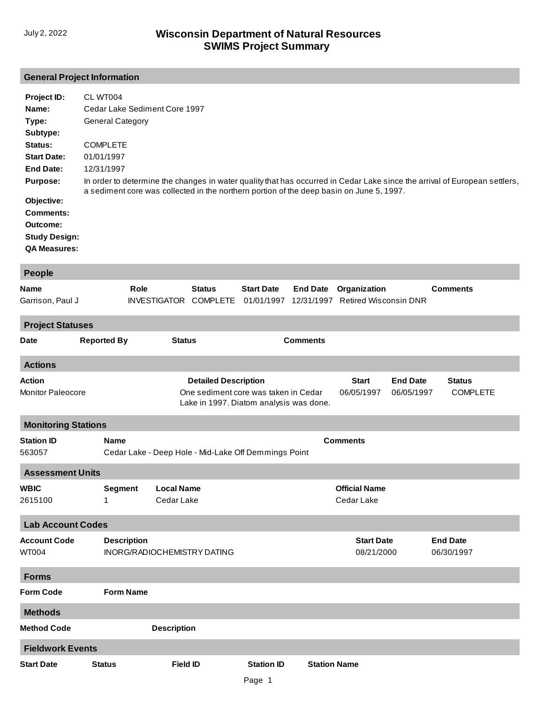# **SWIMS Project Summary** July 2, 2022 **Wisconsin Department of Natural Resources**

## **General Project Information**

| Project ID:          | CL WT004                                                                                                                                                                                                               |
|----------------------|------------------------------------------------------------------------------------------------------------------------------------------------------------------------------------------------------------------------|
| Name:                | Cedar Lake Sediment Core 1997                                                                                                                                                                                          |
| Type:                | <b>General Category</b>                                                                                                                                                                                                |
| Subtype:             |                                                                                                                                                                                                                        |
| Status:              | <b>COMPLETE</b>                                                                                                                                                                                                        |
| <b>Start Date:</b>   | 01/01/1997                                                                                                                                                                                                             |
| <b>End Date:</b>     | 12/31/1997                                                                                                                                                                                                             |
| <b>Purpose:</b>      | In order to determine the changes in water quality that has occurred in Cedar Lake since the arrival of European settlers,<br>a sediment core was collected in the northern portion of the deep basin on June 5, 1997. |
| Objective:           |                                                                                                                                                                                                                        |
| <b>Comments:</b>     |                                                                                                                                                                                                                        |
| Outcome:             |                                                                                                                                                                                                                        |
| <b>Study Design:</b> |                                                                                                                                                                                                                        |
| <b>QA Measures:</b>  |                                                                                                                                                                                                                        |

| <b>People</b>               |                    |                                                                         |                                  |                                                                                 |                               |                                              |                 |                 |
|-----------------------------|--------------------|-------------------------------------------------------------------------|----------------------------------|---------------------------------------------------------------------------------|-------------------------------|----------------------------------------------|-----------------|-----------------|
| Name<br>Garrison, Paul J    | Role               | <b>INVESTIGATOR</b>                                                     | <b>Status</b><br><b>COMPLETE</b> | <b>Start Date</b><br>01/01/1997                                                 | <b>End Date</b><br>12/31/1997 | Organization<br><b>Retired Wisconsin DNR</b> |                 | <b>Comments</b> |
| <b>Project Statuses</b>     |                    |                                                                         |                                  |                                                                                 |                               |                                              |                 |                 |
| Date                        | <b>Reported By</b> | <b>Status</b>                                                           |                                  |                                                                                 | <b>Comments</b>               |                                              |                 |                 |
| <b>Actions</b>              |                    |                                                                         |                                  |                                                                                 |                               |                                              |                 |                 |
| Action                      |                    |                                                                         | <b>Detailed Description</b>      |                                                                                 |                               | <b>Start</b>                                 | <b>End Date</b> | <b>Status</b>   |
| Monitor Paleocore           |                    |                                                                         |                                  | One sediment core was taken in Cedar<br>Lake in 1997. Diatom analysis was done. |                               | 06/05/1997                                   | 06/05/1997      | <b>COMPLETE</b> |
| <b>Monitoring Stations</b>  |                    |                                                                         |                                  |                                                                                 |                               |                                              |                 |                 |
| <b>Station ID</b><br>563057 | <b>Name</b>        | <b>Comments</b><br>Cedar Lake - Deep Hole - Mid-Lake Off Demmings Point |                                  |                                                                                 |                               |                                              |                 |                 |
| <b>Assessment Units</b>     |                    |                                                                         |                                  |                                                                                 |                               |                                              |                 |                 |
| <b>WBIC</b>                 | <b>Segment</b>     | <b>Local Name</b>                                                       |                                  |                                                                                 |                               | <b>Official Name</b>                         |                 |                 |
| 2615100                     | 1                  | Cedar Lake                                                              |                                  |                                                                                 |                               | Cedar Lake                                   |                 |                 |
| <b>Lab Account Codes</b>    |                    |                                                                         |                                  |                                                                                 |                               |                                              |                 |                 |
| <b>Account Code</b>         | <b>Description</b> |                                                                         |                                  |                                                                                 |                               | <b>Start Date</b>                            |                 | <b>End Date</b> |
| <b>WT004</b>                |                    | INORG/RADIOCHEMISTRY DATING                                             |                                  |                                                                                 |                               | 08/21/2000                                   |                 | 06/30/1997      |
| <b>Forms</b>                |                    |                                                                         |                                  |                                                                                 |                               |                                              |                 |                 |
| <b>Form Code</b>            | <b>Form Name</b>   |                                                                         |                                  |                                                                                 |                               |                                              |                 |                 |
| <b>Methods</b>              |                    |                                                                         |                                  |                                                                                 |                               |                                              |                 |                 |
| <b>Method Code</b>          |                    | <b>Description</b>                                                      |                                  |                                                                                 |                               |                                              |                 |                 |
| <b>Fieldwork Events</b>     |                    |                                                                         |                                  |                                                                                 |                               |                                              |                 |                 |
| <b>Start Date</b>           | <b>Status</b>      | <b>Field ID</b>                                                         |                                  | <b>Station ID</b>                                                               | <b>Station Name</b>           |                                              |                 |                 |